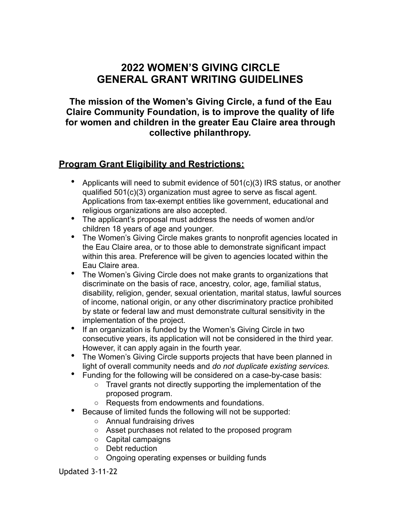# **2022 WOMEN'S GIVING CIRCLE GENERAL GRANT WRITING GUIDELINES**

**The mission of the Women's Giving Circle, a fund of the Eau Claire Community Foundation, is to improve the quality of life for women and children in the greater Eau Claire area through collective philanthropy.**

# **Program Grant Eligibility and Restrictions:**

- Applicants will need to submit evidence of 501(c)(3) IRS status, or another qualified 501(c)(3) organization must agree to serve as fiscal agent. Applications from tax-exempt entities like government, educational and religious organizations are also accepted.
- The applicant's proposal must address the needs of women and/or children 18 years of age and younger.
- The Women's Giving Circle makes grants to nonprofit agencies located in the Eau Claire area, or to those able to demonstrate significant impact within this area. Preference will be given to agencies located within the Eau Claire area.
- The Women's Giving Circle does not make grants to organizations that discriminate on the basis of race, ancestry, color, age, familial status, disability, religion, gender, sexual orientation, marital status, lawful sources of income, national origin, or any other discriminatory practice prohibited by state or federal law and must demonstrate cultural sensitivity in the implementation of the project.
- If an organization is funded by the Women's Giving Circle in two consecutive years, its application will not be considered in the third year. However, it can apply again in the fourth year.
- The Women's Giving Circle supports projects that have been planned in light of overall community needs and *do not duplicate existing services.*
- Funding for the following will be considered on a case-by-case basis:
	- $\circ$  Travel grants not directly supporting the implementation of the proposed program.
	- o Requests from endowments and foundations.
- Because of limited funds the following will not be supported:
	- o Annual fundraising drives
	- o Asset purchases not related to the proposed program
	- o Capital campaigns
	- o Debt reduction
	- o Ongoing operating expenses or building funds

Updated 3-11-22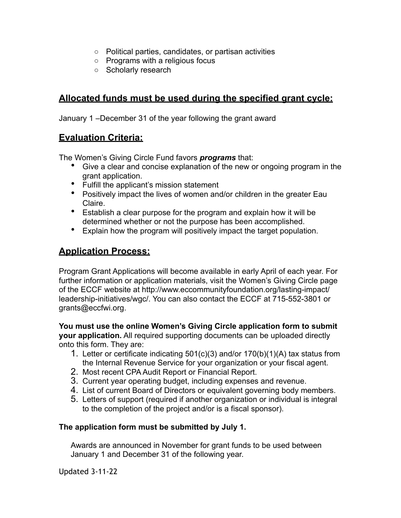- o Political parties, candidates, or partisan activities
- o Programs with a religious focus
- o Scholarly research

## **Allocated funds must be used during the specified grant cycle:**

January 1 –December 31 of the year following the grant award

### **Evaluation Criteria:**

The Women's Giving Circle Fund favors *programs* that:

- Give a clear and concise explanation of the new or ongoing program in the grant application.
- Fulfill the applicant's mission statement
- Positively impact the lives of women and/or children in the greater Eau Claire.
- Establish a clear purpose for the program and explain how it will be determined whether or not the purpose has been accomplished.
- Explain how the program will positively impact the target population.

### **Application Process:**

Program Grant Applications will become available in early April of each year. For further information or application materials, visit the Women's Giving Circle page of the ECCF website at http://www.eccommunityfoundation.org/lasting-impact/ leadership-initiatives/wgc/. You can also contact the ECCF at 715-552-3801 or grants@eccfwi.org.

**You must use the online Women's Giving Circle application form to submit your application.** All required supporting documents can be uploaded directly onto this form. They are:

- 1. Letter or certificate indicating 501(c)(3) and/or 170(b)(1)(A) tax status from the Internal Revenue Service for your organization or your fiscal agent.
- 2. Most recent CPA Audit Report or Financial Report.
- 3. Current year operating budget, including expenses and revenue.
- 4. List of current Board of Directors or equivalent governing body members.
- 5. Letters of support (required if another organization or individual is integral to the completion of the project and/or is a fiscal sponsor).

#### **The application form must be submitted by July 1.**

Awards are announced in November for grant funds to be used between January 1 and December 31 of the following year.

Updated 3-11-22